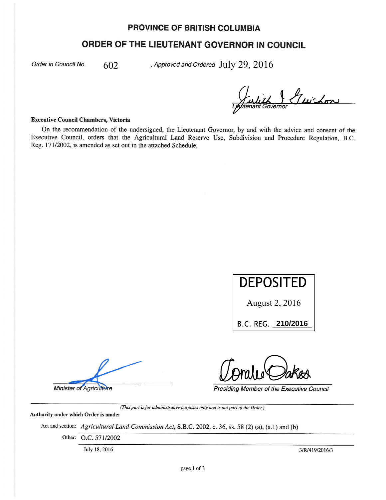# **PROVINCE OF BRITISH COLUMBIA**

# **ORDER OF THE LIEUTENANT GOVERNOR IN COUNCIL**

Order in Council No.

602

, Approved and Ordered  $\rm July~29,2016$ 

avernor Juichon

#### **Executive Council Chambers, Victoria**

On the recommendation of the undersigned, the Lieutenant Governor, by and with the advice and consent of the Executive Council, orders that the Agricultural Land Reserve Use, Subdivision and Procedure Regulation, B.C. Reg. 171/2002, is amended as set out in the attached Schedule.

**DEPOSITED** 

August 2, 2016

B.C. REG. 210/2016

**Minister of Agriculture** 

Presiding Member of the Executive Council

(This part is for administrative purposes only and is not part of the Order.)

Authority under which Order is made:

Act and section: Agricultural Land Commission Act, S.B.C. 2002, c. 36, ss. 58 (2) (a), (a.1) and (b)

Other: O.C. 571/2002

July 18, 2016

3/R/419/2016/3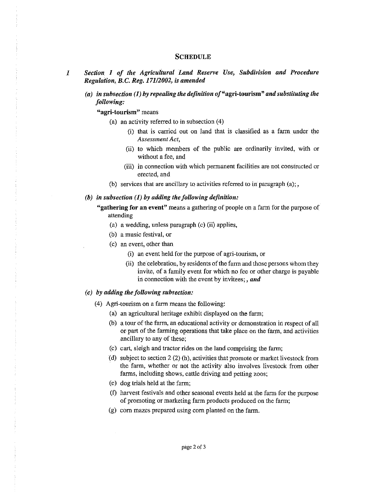### **SCHEDULE**

- J *Section 1 of the Agricultural Land Reserve Use, Subdivision and Procedure Regulation, B.C. Reg. 17112002, is amended* 
	- *(a) in subsection* (1) *by repealing the definition* of"agri-tourism" *and substituting the following:*

**"agri-tourism" means** 

- (a) an activity referred to in subsection (4)
	- (i) that is carried out on land that is classified as a farm under the  $Assessment Act$ ,
	- (ii) to which members of the public are ordinarily invited, with or without a fee, and
	- (iii) in connection with which permanent facilities are not constructed or erected, and
- (b) services that are ancillary to activities referred to in paragraph  $(a)$ ;,

#### *(b) in subsection* (1) *by adding the following definition:*

"gathering for an event" means a gathering of people on a farm for the purpose of attending

- (a) a wedding, unless paragraph (c) (ii) applies,
- (b) a music festival, or
- (c) an event, other than
	- (i) an event held for the purpose of agri-tourism, or
	- (ii) the celebration, by residents of the farm and those persons whom they invite, of a family event for which no fee or other charge is payable in connection with the event by invitees;, *and*

#### *( c) by adding the following subsection:*

- (4) Agri-tourism on a farm means the following:
	- (a) an agricultural heritage exhibit displayed on the farm;
	- (b) a tour of the farm, an educational activity or demonstration in respect of all or part of the farming operations that take place on the farm, and activities ancillary to any of these;
	- (c) cart, sleigh and tractor rides on the land comprising the farm;
	- (d) subject to section 2 (2) (h), activities that promote or market livestock from the farm, whether or not the activity also involves livestock from other farms, including shows, cattle driving and petting zoos;
	- (e) dog trials held at the farm;
	- (f) harvest festivals and other seasonal events held at the farm for the purpose of promoting or marketing farm products produced on the farm;
	- (g) com mazes prepared using com planted on the farm.